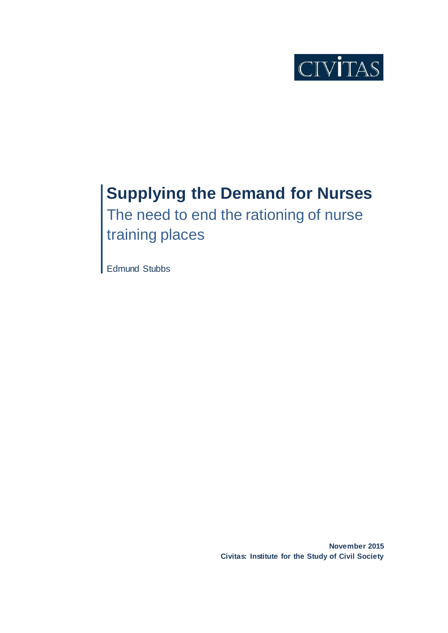

# **Supplying the Demand for Nurses**

The need to end the rationing of nurse training places

Edmund Stubbs

**November 2015 Civitas: Institute for the Study of Civil Society**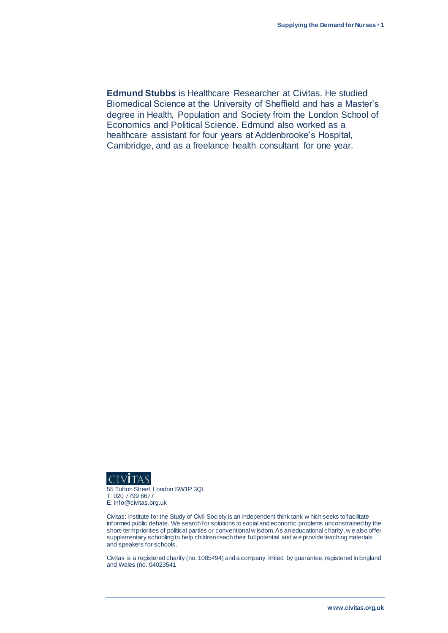**Edmund Stubbs** is Healthcare Researcher at Civitas. He studied Biomedical Science at the University of Sheffield and has a Master's degree in Health, Population and Society from the London School of Economics and Political Science. Edmund also worked as a healthcare assistant for four years at Addenbrooke's Hospital, Cambridge, and as a freelance health consultant for one year.



55 Tufton Street, London SW1P 3QL T: 020 7799 6677 E: info@civitas.org.uk

Civitas: Institute for the Study of Civil Society is an independent think tank w hich seeks to facilitate informed public debate. We search for solutions to social and economic problems unconstrained by the short-term priorities of political parties or conventional w isdom. As an educational charity, w e also offer supplementary schooling to help children reach their full potential and w e provide teaching materials and speakers for schools.

Civitas is a registered charity (no. 1085494) and a company limited by guarantee, registered in England and Wales (no. 04023541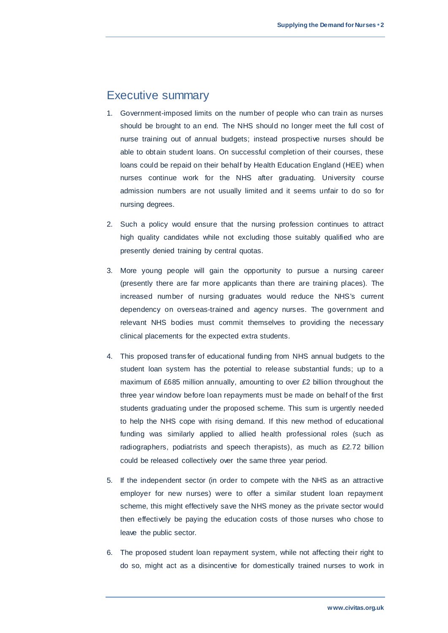# Executive summary

- 1. Government-imposed limits on the number of people who can train as nurses should be brought to an end. The NHS should no longer meet the full cost of nurse training out of annual budgets; instead prospective nurses should be able to obtain student loans. On successful completion of their courses, these loans could be repaid on their behalf by Health Education England (HEE) when nurses continue work for the NHS after graduating. University course admission numbers are not usually limited and it seems unfair to do so for nursing degrees.
- 2. Such a policy would ensure that the nursing profession continues to attract high quality candidates while not excluding those suitably qualified who are presently denied training by central quotas.
- 3. More young people will gain the opportunity to pursue a nursing career (presently there are far more applicants than there are training places). The increased number of nursing graduates would reduce the NHS's current dependency on overseas-trained and agency nurses. The government and relevant NHS bodies must commit themselves to providing the necessary clinical placements for the expected extra students.
- 4. This proposed transfer of educational funding from NHS annual budgets to the student loan system has the potential to release substantial funds; up to a maximum of £685 million annually, amounting to over £2 billion throughout the three year window before loan repayments must be made on behalf of the first students graduating under the proposed scheme. This sum is urgently needed to help the NHS cope with rising demand. If this new method of educational funding was similarly applied to allied health professional roles (such as radiographers, podiatrists and speech therapists), as much as £2.72 billion could be released collectively over the same three year period.
- 5. If the independent sector (in order to compete with the NHS as an attractive employer for new nurses) were to offer a similar student loan repayment scheme, this might effectively save the NHS money as the private sector would then effectively be paying the education costs of those nurses who chose to leave the public sector.
- 6. The proposed student loan repayment system, while not affecting their right to do so, might act as a disincentive for domestically trained nurses to work in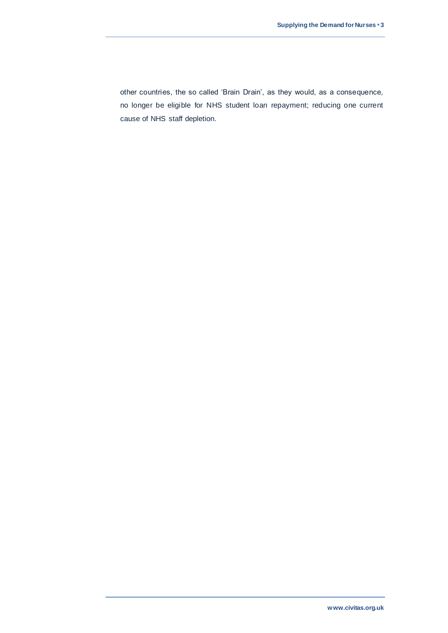other countries, the so called 'Brain Drain', as they would, as a consequence, no longer be eligible for NHS student loan repayment; reducing one current cause of NHS staff depletion.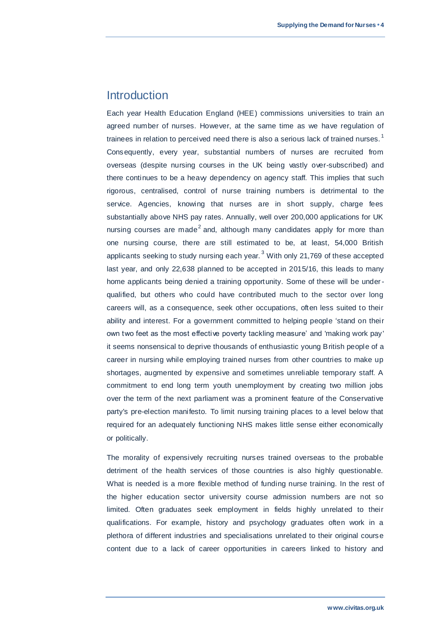### **Introduction**

Each year Health Education England (HEE) commissions universities to train an agreed number of nurses. However, at the same time as we have regulation of trainees in relation to perceived need there is also a serious lack of trained nurses.<sup>1</sup> Consequently, every year, substantial numbers of nurses are recruited from overseas (despite nursing courses in the UK being vastly over-subscribed) and there continues to be a heavy dependency on agency staff. This implies that such rigorous, centralised, control of nurse training numbers is detrimental to the service. Agencies, knowing that nurses are in short supply, charge fees substantially above NHS pay rates. Annually, well over 200,000 applications for UK nursing courses are made<sup>2</sup> and, although many candidates apply for more than one nursing course, there are still estimated to be, at least, 54,000 British applicants seeking to study nursing each year.  $3$  With only 21,769 of these accepted last year, and only 22,638 planned to be accepted in 2015/16, this leads to many home applicants being denied a training opportunity. Some of these will be underqualified, but others who could have contributed much to the sector over long careers will, as a consequence, seek other occupations, often less suited to their ability and interest. For a government committed to helping people 'stand on their own two feet as the most effective poverty tackling measure' and 'making work pay' it seems nonsensical to deprive thousands of enthusiastic young British people of a career in nursing while employing trained nurses from other countries to make up shortages, augmented by expensive and sometimes unreliable temporary staff. A commitment to end long term youth unemployment by creating two million jobs over the term of the next parliament was a prominent feature of the Conservative party's pre-election manifesto. To limit nursing training places to a level below that required for an adequately functioning NHS makes little sense either economically or politically.

The morality of expensively recruiting nurses trained overseas to the probable detriment of the health services of those countries is also highly questionable. What is needed is a more flexible method of funding nurse training. In the rest of the higher education sector university course admission numbers are not so limited. Often graduates seek employment in fields highly unrelated to their qualifications. For example, history and psychology graduates often work in a plethora of different industries and specialisations unrelated to their original course content due to a lack of career opportunities in careers linked to history and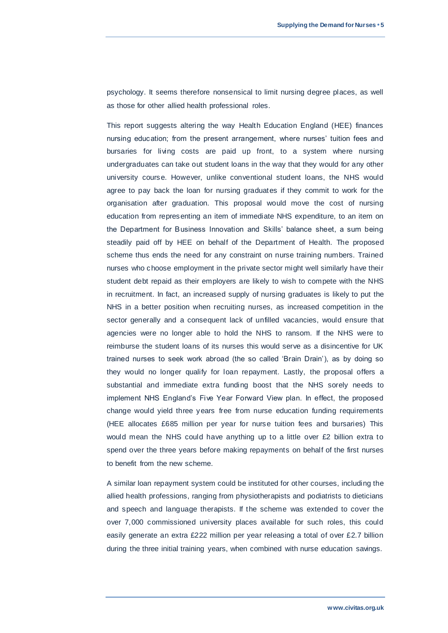psychology. It seems therefore nonsensical to limit nursing degree places, as well as those for other allied health professional roles.

This report suggests altering the way Health Education England (HEE) finances nursing education; from the present arrangement, where nurses' tuition fees and bursaries for living costs are paid up front, to a system where nursing undergraduates can take out student loans in the way that they would for any other university course. However, unlike conventional student loans, the NHS would agree to pay back the loan for nursing graduates if they commit to work for the organisation after graduation. This proposal would move the cost of nursing education from representing an item of immediate NHS expenditure, to an item on the Department for Business Innovation and Skills' balance sheet, a sum being steadily paid off by HEE on behalf of the Department of Health. The proposed scheme thus ends the need for any constraint on nurse training numbers. Trained nurses who choose employment in the private sector might well similarly have their student debt repaid as their employers are likely to wish to compete with the NHS in recruitment. In fact, an increased supply of nursing graduates is likely to put the NHS in a better position when recruiting nurses, as increased competition in the sector generally and a consequent lack of unfilled vacancies, would ensure that agencies were no longer able to hold the NHS to ransom. If the NHS were to reimburse the student loans of its nurses this would serve as a disincentive for UK trained nurses to seek work abroad (the so called 'Brain Drain'), as by doing so they would no longer qualify for loan repayment. Lastly, the proposal offers a substantial and immediate extra funding boost that the NHS sorely needs to implement NHS England's Five Year Forward View plan. In effect, the proposed change would yield three years free from nurse education funding requirements (HEE allocates £685 million per year for nurse tuition fees and bursaries) This would mean the NHS could have anything up to a little over £2 billion extra to spend over the three years before making repayments on behalf of the first nurses to benefit from the new scheme.

A similar loan repayment system could be instituted for other courses, including the allied health professions, ranging from physiotherapists and podiatrists to dieticians and speech and language therapists. If the scheme was extended to cover the over 7,000 commissioned university places available for such roles, this could easily generate an extra £222 million per year releasing a total of over £2.7 billion during the three initial training years, when combined with nurse education savings.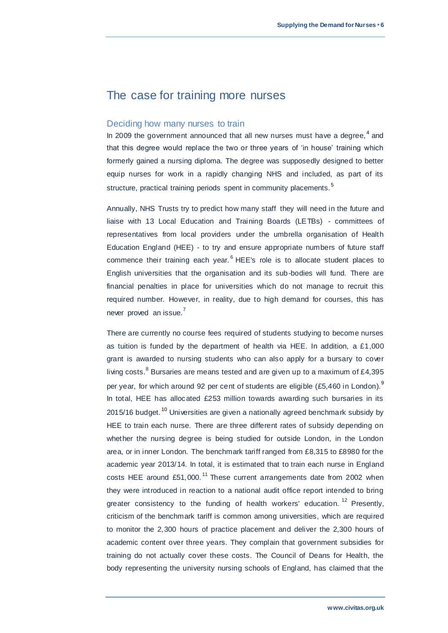# The case for training more nurses

### Deciding how many nurses to train

In 2009 the government announced that all new nurses must have a degree,  $4$  and that this degree would replace the two or three years of 'in house' training which formerly gained a nursing diploma. The degree was supposedly designed to better equip nurses for work in a rapidly changing NHS and included, as part of its structure, practical training periods spent in community placements.<sup>5</sup>

Annually, NHS Trusts try to predict how many staff they will need in the future and liaise with 13 Local Education and Training Boards (LETBs) - committees of representatives from local providers under the umbrella organisation of Health Education England (HEE) - to try and ensure appropriate numbers of future staff commence their training each year.<sup>6</sup> HEE's role is to allocate student places to English universities that the organisation and its sub-bodies will fund. There are financial penalties in place for universities which do not manage to recruit this required number. However, in reality, due to high demand for courses, this has never proved an issue.<sup>7</sup>

There are currently no course fees required of students studying to become nurses as tuition is funded by the department of health via HEE. In addition, a £1,000 grant is awarded to nursing students who can also apply for a bursary to cover living costs.  $8$  Bursaries are means tested and are given up to a maximum of £4,395 per year, for which around 92 per cent of students are eligible (£5,460 in London).<sup>9</sup> In total, HEE has allocated £253 million towards awarding such bursaries in its 2015/16 budget.<sup>10</sup> Universities are given a nationally agreed benchmark subsidy by HEE to train each nurse. There are three different rates of subsidy depending on whether the nursing degree is being studied for outside London, in the London area, or in inner London. The benchmark tariff ranged from £8,315 to £8980 for the academic year 2013/14. In total, it is estimated that to train each nurse in England costs HEE around £51,000.<sup>11</sup> These current arrangements date from 2002 when they were introduced in reaction to a national audit office report intended to bring greater consistency to the funding of health workers' education.<sup>12</sup> Presently, criticism of the benchmark tariff is common among universities, which are required to monitor the 2,300 hours of practice placement and deliver the 2,300 hours of academic content over three years. They complain that government subsidies for training do not actually cover these costs. The Council of Deans for Health, the body representing the university nursing schools of England, has claimed that the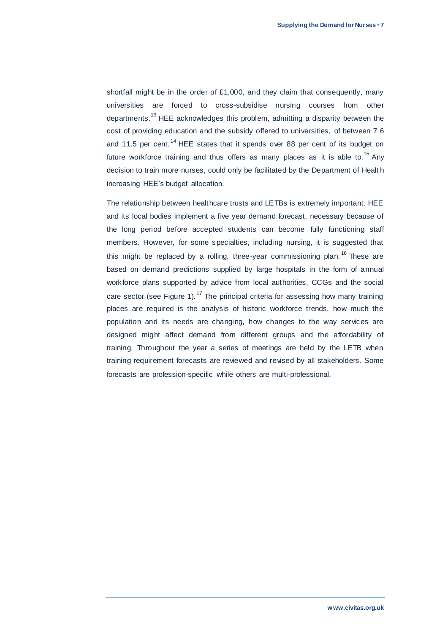shortfall might be in the order of £1,000, and they claim that consequently, many universities are forced to cross-subsidise nursing courses from other departments.<sup>13</sup> HEE acknowledges this problem, admitting a disparity between the cost of providing education and the subsidy offered to universities, of between 7.6 and 11.5 per cent.<sup>14</sup> HEE states that it spends over 88 per cent of its budget on future workforce training and thus offers as many places as it is able to.<sup>15</sup> Any decision to train more nurses, could only be facilitated by the Department of Healt h increasing HEE's budget allocation.

The relationship between healthcare trusts and LETBs is extremely important. HEE and its local bodies implement a five year demand forecast, necessary because of the long period before accepted students can become fully functioning staff members. However, for some specialties, including nursing, it is suggested that this might be replaced by a rolling, three-year commissioning plan.<sup>16</sup> These are based on demand predictions supplied by large hospitals in the form of annual workforce plans supported by advice from local authorities, CCGs and the social care sector (see Figure 1).<sup>17</sup> The principal criteria for assessing how many training places are required is the analysis of historic workforce trends, how much the population and its needs are changing, how changes to the way services are designed might affect demand from different groups and the affordability of training. Throughout the year a series of meetings are held by the LETB when training requirement forecasts are reviewed and revised by all stakeholders. Some forecasts are profession-specific while others are multi-professional.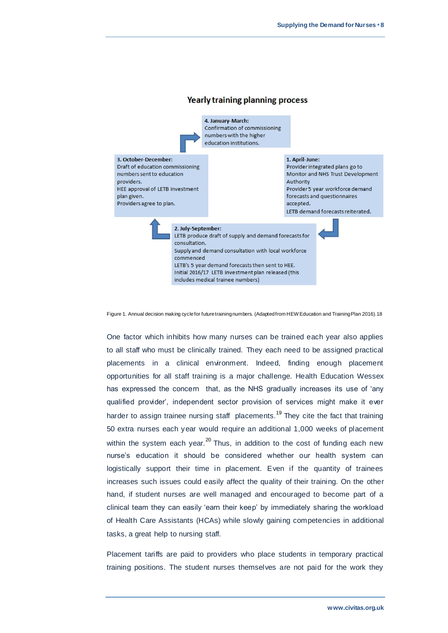

Figure 1. Annual decision making cycle for future training numbers. (Adapted from HEW Education and Training Plan 2016).18

One factor which inhibits how many nurses can be trained each year also applies to all staff who must be clinically trained. They each need to be assigned practical placements in a clinical environment. Indeed, finding enough placement opportunities for all staff training is a major challenge. Health Education Wessex has expressed the concern that, as the NHS gradually increases its use of 'any qualified provider', independent sector provision of services might make it ever harder to assign trainee nursing staff placements.<sup>19</sup> They cite the fact that training 50 extra nurses each year would require an additional 1,000 weeks of placement within the system each year.<sup>20</sup> Thus, in addition to the cost of funding each new nurse's education it should be considered whether our health system can logistically support their time in placement. Even if the quantity of trainees increases such issues could easily affect the quality of their training. On the other hand, if student nurses are well managed and encouraged to become part of a clinical team they can easily 'earn their keep' by immediately sharing the workload of Health Care Assistants (HCAs) while slowly gaining competencies in additional tasks, a great help to nursing staff.

Placement tariffs are paid to providers who place students in temporary practical training positions. The student nurses themselves are not paid for the work they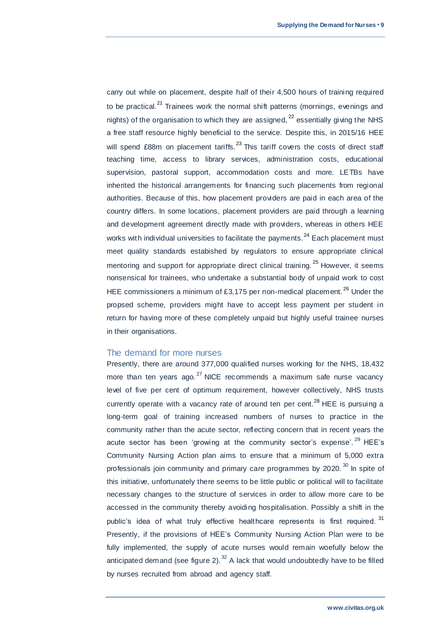carry out while on placement, despite half of their 4,500 hours of training required to be practical.<sup>21</sup> Trainees work the normal shift patterns (mornings, evenings and nights) of the organisation to which they are assigned,  $22$  essentially giving the NHS a free staff resource highly beneficial to the service. Despite this, in 2015/16 HEE will spend  $£88m$  on placement tariffs.<sup>23</sup> This tariff covers the costs of direct staff teaching time, access to library services, administration costs, educational supervision, pastoral support, accommodation costs and more. LETBs have inherited the historical arrangements for financing such placements from regional authorities. Because of this, how placement providers are paid in each area of the country differs. In some locations, placement providers are paid through a learning and development agreement directly made with providers, whereas in others HEE works with individual universities to facilitate the payments. $^{24}$  Each placement must meet quality standards estabished by regulators to ensure appropriate clinical mentoring and support for appropriate direct clinical training.<sup>25</sup> However, it seems nonsensical for trainees, who undertake a substantial body of unpaid work to cost HEE commissioners a minimum of £3,175 per non-medical placement.<sup>26</sup> Under the propsed scheme, providers might have to accept less payment per student in return for having more of these completely unpaid but highly useful trainee nurses in their organisations.

### The demand for more nurses

Presently, there are around 377,000 qualified nurses working for the NHS, 18,432 more than ten years ago. $^{27}$  NICE recommends a maximum safe nurse vacancy level of five per cent of optimum requirement, however collectively, NHS trusts currently operate with a vacancy rate of around ten per cent.<sup>28</sup> HEE is pursuing a long-term goal of training increased numbers of nurses to practice in the community rather than the acute sector, reflecting concern that in recent years the acute sector has been 'growing at the community sector's expense'.<sup>29</sup> HEE's Community Nursing Action plan aims to ensure that a minimum of 5,000 extra professionals join community and primary care programmes by 2020.<sup>30</sup> In spite of this initiative, unfortunately there seems to be little public or political will to facilitate necessary changes to the structure of services in order to allow more care to be accessed in the community thereby avoiding hospitalisation. Possibly a shift in the public's idea of what truly effective healthcare represents is first required.<sup>31</sup> Presently, if the provisions of HEE's Community Nursing Action Plan were to be fully implemented, the supply of acute nurses would remain woefully below the anticipated demand (see figure 2).  $32$  A lack that would undoubtedly have to be filled by nurses recruited from abroad and agency staff.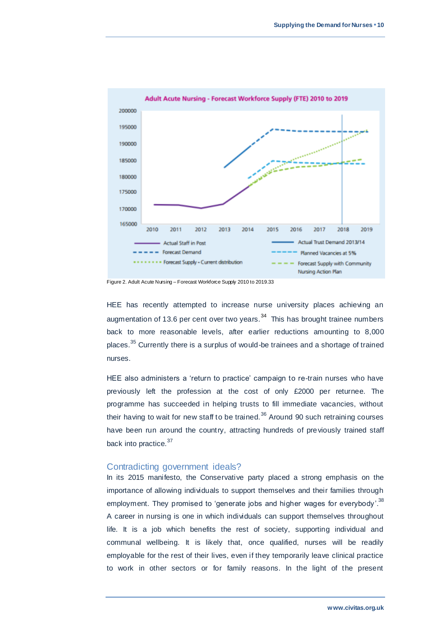

Figure 2. Adult Acute Nursing – Forecast Workforce Supply 2010 to 2019.33

HEE has recently attempted to increase nurse university places achieving an augmentation of 13.6 per cent over two years. $34$  This has brought trainee numbers back to more reasonable levels, after earlier reductions amounting to 8,000 places.<sup>35</sup> Currently there is a surplus of would-be trainees and a shortage of trained nurses.

HEE also administers a 'return to practice' campaign to re-train nurses who have previously left the profession at the cost of only £2000 per returnee. The programme has succeeded in helping trusts to fill immediate vacancies, without their having to wait for new staff to be trained. $36$  Around 90 such retraining courses have been run around the country, attracting hundreds of previously trained staff back into practice.<sup>37</sup>

### Contradicting government ideals?

In its 2015 manifesto, the Conservative party placed a strong emphasis on the importance of allowing individuals to support themselves and their families through employment. They promised to 'generate jobs and higher wages for everybody'.<sup>38</sup> A career in nursing is one in which individuals can support themselves throughout life. It is a job which benefits the rest of society, supporting individual and communal wellbeing. It is likely that, once qualified, nurses will be readily employable for the rest of their lives, even if they temporarily leave clinical practice to work in other sectors or for family reasons. In the light of the present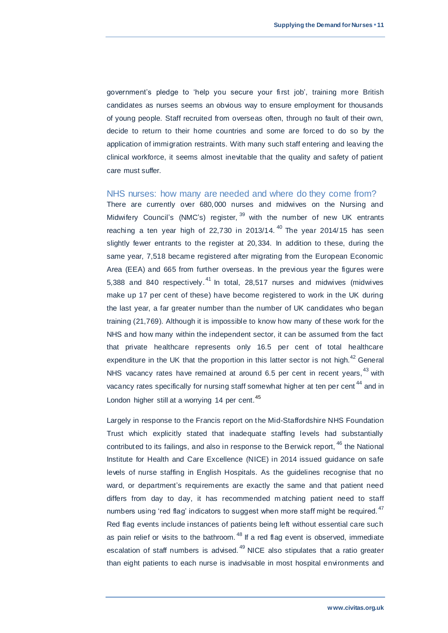government's pledge to 'help you secure your first job', training more British candidates as nurses seems an obvious way to ensure employment for thousands of young people. Staff recruited from overseas often, through no fault of their own, decide to return to their home countries and some are forced to do so by the application of immigration restraints. With many such staff entering and leaving the clinical workforce, it seems almost inevitable that the quality and safety of patient care must suffer.

### NHS nurses: how many are needed and where do they come from?

There are currently over 680,000 nurses and midwives on the Nursing and Midwifery Council's (NMC's) register,  $39$  with the number of new UK entrants reaching a ten year high of  $22,730$  in  $2013/14$ . <sup>40</sup> The year  $2014/15$  has seen slightly fewer entrants to the register at 20,334. In addition to these, during the same year, 7,518 became registered after migrating from the European Economic Area (EEA) and 665 from further overseas. In the previous year the figures were 5,388 and 840 respectively.<sup>41</sup> In total, 28,517 nurses and midwives (midwives make up 17 per cent of these) have become registered to work in the UK during the last year, a far greater number than the number of UK candidates who began training (21,769). Although it is impossible to know how many of these work for the NHS and how many within the independent sector, it can be assumed from the fact that private healthcare represents only 16.5 per cent of total healthcare expenditure in the UK that the proportion in this latter sector is not high. $^{42}$  General NHS vacancy rates have remained at around 6.5 per cent in recent years, <sup>43</sup> with vacancy rates specifically for nursing staff somewhat higher at ten per cent<sup>44</sup> and in London higher still at a worrying 14 per cent.<sup>45</sup>

Largely in response to the Francis report on the Mid-Staffordshire NHS Foundation Trust which explicitly stated that inadequate staffing levels had substantially contributed to its failings, and also in response to the Berwick report, <sup>46</sup> the National Institute for Health and Care Excellence (NICE) in 2014 issued guidance on safe levels of nurse staffing in English Hospitals. As the guidelines recognise that no ward, or department's requirements are exactly the same and that patient need differs from day to day, it has recommended m atching patient need to staff numbers using 'red flag' indicators to suggest when more staff might be required.<sup>47</sup> Red flag events include instances of patients being left without essential care such as pain relief or visits to the bathroom.  $48$  If a red flag event is observed, immediate escalation of staff numbers is advised.<sup>49</sup> NICE also stipulates that a ratio greater than eight patients to each nurse is inadvisable in most hospital environments and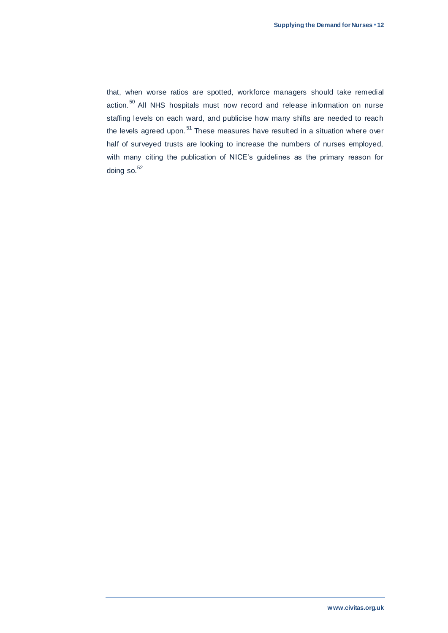that, when worse ratios are spotted, workforce managers should take remedial action.<sup>50</sup> All NHS hospitals must now record and release information on nurse staffing levels on each ward, and publicise how many shifts are needed to reach the levels agreed upon.<sup>51</sup> These measures have resulted in a situation where over half of surveyed trusts are looking to increase the numbers of nurses employed, with many citing the publication of NICE's guidelines as the primary reason for doing so. $52$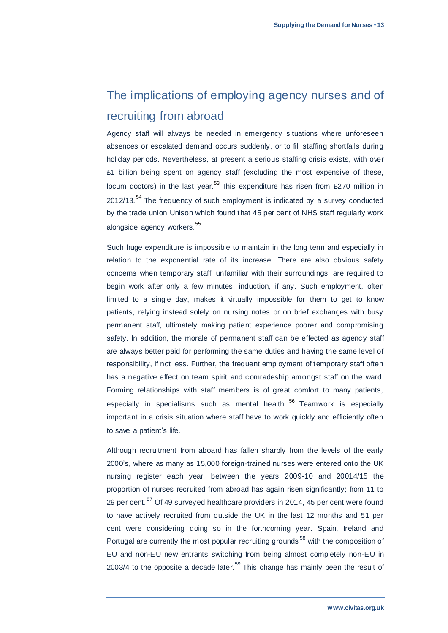# The implications of employing agency nurses and of recruiting from abroad

Agency staff will always be needed in emergency situations where unforeseen absences or escalated demand occurs suddenly, or to fill staffing shortfalls during holiday periods. Nevertheless, at present a serious staffing crisis exists, with over £1 billion being spent on agency staff (excluding the most expensive of these, locum doctors) in the last year.<sup>53</sup> This expenditure has risen from £270 million in 2012/13.<sup>54</sup> The frequency of such employment is indicated by a survey conducted by the trade union Unison which found that 45 per cent of NHS staff regularly work alongside agency workers.<sup>55</sup>

Such huge expenditure is impossible to maintain in the long term and especially in relation to the exponential rate of its increase. There are also obvious safety concerns when temporary staff, unfamiliar with their surroundings, are required to begin work after only a few minutes' induction, if any. Such employment, often limited to a single day, makes it virtually impossible for them to get to know patients, relying instead solely on nursing notes or on brief exchanges with busy permanent staff, ultimately making patient experience poorer and compromising safety. In addition, the morale of permanent staff can be effected as agency staff are always better paid for performing the same duties and having the same level of responsibility, if not less. Further, the frequent employment of temporary staff often has a negative effect on team spirit and comradeship amongst staff on the ward. Forming relationships with staff members is of great comfort to many patients, especially in specialisms such as mental health.<sup>56</sup> Teamwork is especially important in a crisis situation where staff have to work quickly and efficiently often to save a patient's life.

Although recruitment from aboard has fallen sharply from the levels of the early 2000's, where as many as 15,000 foreign-trained nurses were entered onto the UK nursing register each year, between the years 2009-10 and 20014/15 the proportion of nurses recruited from abroad has again risen significantly; from 11 to 29 per cent.<sup>57</sup> Of 49 surveyed healthcare providers in 2014, 45 per cent were found to have actively recruited from outside the UK in the last 12 months and 51 per cent were considering doing so in the forthcoming year. Spain, Ireland and Portugal are currently the most popular recruiting grounds<sup>58</sup> with the composition of EU and non-EU new entrants switching from being almost completely non-EU in 2003/4 to the opposite a decade later.<sup>59</sup> This change has mainly been the result of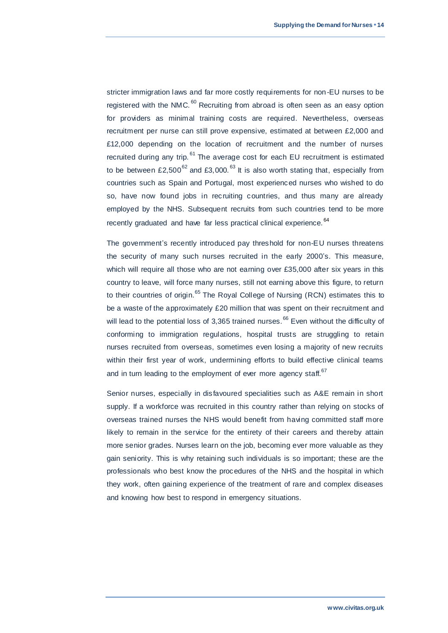stricter immigration laws and far more costly requirements for non -EU nurses to be registered with the NMC.<sup>60</sup> Recruiting from abroad is often seen as an easy option for providers as minimal training costs are required. Nevertheless, overseas recruitment per nurse can still prove expensive, estimated at between £2,000 and £12,000 depending on the location of recruitment and the number of nurses recruited during any trip. <sup>61</sup> The average cost for each EU recruitment is estimated to be between  $£2,500^{62}$  and  $£3,000$ .<sup>63</sup> It is also worth stating that, especially from countries such as Spain and Portugal, most experienced nurses who wished to do so, have now found jobs in recruiting countries, and thus many are already employed by the NHS. Subsequent recruits from such countries tend to be more recently graduated and have far less practical clinical experience. <sup>64</sup>

The government's recently introduced pay threshold for non-EU nurses threatens the security of many such nurses recruited in the early 2000's. This measure, which will require all those who are not earning over £35,000 after six years in this country to leave, will force many nurses, still not earning above this figure, to return to their countries of origin.<sup>65</sup> The Royal College of Nursing (RCN) estimates this to be a waste of the approximately £20 million that was spent on their recruitment and will lead to the potential loss of 3,365 trained nurses.<sup>66</sup> Even without the difficulty of conforming to immigration regulations, hospital trusts are struggling to retain nurses recruited from overseas, sometimes even losing a majority of new recruits within their first year of work, undermining efforts to build effective clinical teams and in turn leading to the employment of ever more agency staff.<sup>67</sup>

Senior nurses, especially in disfavoured specialities such as A&E remain in short supply. If a workforce was recruited in this country rather than relying on stocks of overseas trained nurses the NHS would benefit from having committed staff more likely to remain in the service for the entirety of their careers and thereby attain more senior grades. Nurses learn on the job, becoming ever more valuable as they gain seniority. This is why retaining such individuals is so important; these are the professionals who best know the procedures of the NHS and the hospital in which they work, often gaining experience of the treatment of rare and complex diseases and knowing how best to respond in emergency situations.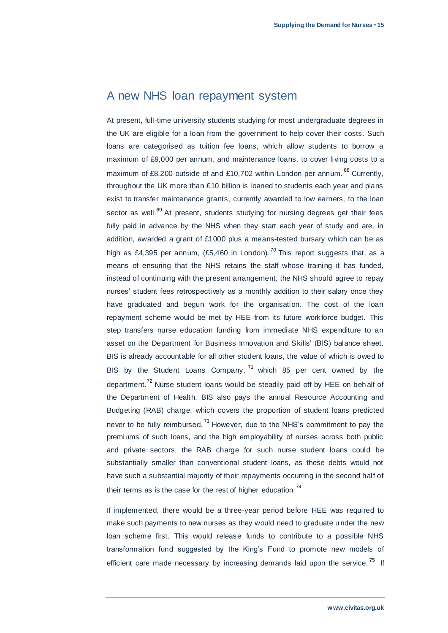# A new NHS loan repayment system

At present, full-time university students studying for most undergraduate degrees in the UK are eligible for a loan from the government to help cover their costs. Such loans are categorised as tuition fee loans, which allow students to borrow a maximum of £9,000 per annum, and maintenance loans, to cover living costs to a maximum of £8,200 outside of and £10,702 within London per annum.<sup>68</sup> Currently. throughout the UK more than £10 billion is loaned to students each year and plans exist to transfer maintenance grants, currently awarded to low earners, to the loan sector as well.<sup>69</sup> At present, students studying for nursing degrees get their fees fully paid in advance by the NHS when they start each year of study and are, in addition, awarded a grant of £1000 plus a means-tested bursary which can be as high as £4,395 per annum, (£5,460 in London).<sup>70</sup> This report suggests that, as a means of ensuring that the NHS retains the staff whose training it has funded, instead of continuing with the present arrangement, the NHS should agree to repay nurses' student fees retrospectively as a monthly addition to their salary once they have graduated and begun work for the organisation. The cost of the loan repayment scheme would be met by HEE from its future workforce budget. This step transfers nurse education funding from immediate NHS expenditure to an asset on the Department for Business Innovation and Skills' (BIS) balance sheet. BIS is already accountable for all other student loans, the value of which is owed to BIS by the Student Loans Company, 71 which 85 per cent owned by the department.<sup>72</sup> Nurse student loans would be steadily paid off by HEE on behalf of the Department of Health. BIS also pays the annual Resource Accounting and Budgeting (RAB) charge, which covers the proportion of student loans predicted never to be fully reimbursed.<sup>73</sup> However, due to the NHS's commitment to pay the premiums of such loans, and the high employability of nurses across both public and private sectors, the RAB charge for such nurse student loans could be substantially smaller than conventional student loans, as these debts would not have such a substantial majority of their repayments occurring in the second half of their terms as is the case for the rest of higher education.<sup>74</sup>

If implemented, there would be a three-year period before HEE was required to make such payments to new nurses as they would need to graduate u nder the new loan scheme first. This would release funds to contribute to a possible NHS transformation fund suggested by the King's Fund to promote new models of efficient care made necessary by increasing demands laid upon the service.<sup>75</sup> If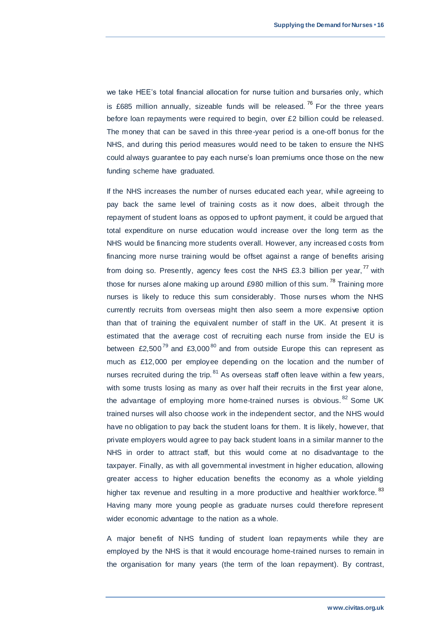we take HEE's total financial allocation for nurse tuition and bursaries only, which is £685 million annually, sizeable funds will be released.<sup>76</sup> For the three years before loan repayments were required to begin, over £2 billion could be released. The money that can be saved in this three-year period is a one-off bonus for the NHS, and during this period measures would need to be taken to ensure the NHS could always guarantee to pay each nurse's loan premiums once those on the new funding scheme have graduated.

If the NHS increases the number of nurses educated each year, while agreeing to pay back the same level of training costs as it now does, albeit through the repayment of student loans as opposed to upfront payment, it could be argued that total expenditure on nurse education would increase over the long term as the NHS would be financing more students overall. However, any increased costs from financing more nurse training would be offset against a range of benefits arising from doing so. Presently, agency fees cost the NHS £3.3 billion per year,<sup>77</sup> with those for nurses alone making up around £980 million of this sum.<sup>78</sup> Training more nurses is likely to reduce this sum considerably. Those nurses whom the NHS currently recruits from overseas might then also seem a more expensive option than that of training the equivalent number of staff in the UK. At present it is estimated that the average cost of recruiting each nurse from inside the EU is between £2,500<sup>79</sup> and £3,000<sup>80</sup> and from outside Europe this can represent as much as £12,000 per employee depending on the location and the number of nurses recruited during the trip.  $81$  As overseas staff often leave within a few years, with some trusts losing as many as over half their recruits in the first year alone, the advantage of employing more home-trained nurses is obvious.<sup>82</sup> Some UK trained nurses will also choose work in the independent sector, and the NHS would have no obligation to pay back the student loans for them. It is likely, however, that private employers would agree to pay back student loans in a similar manner to the NHS in order to attract staff, but this would come at no disadvantage to the taxpayer. Finally, as with all governmental investment in higher education, allowing greater access to higher education benefits the economy as a whole yielding higher tax revenue and resulting in a more productive and healthier workforce.<sup>83</sup> Having many more young people as graduate nurses could therefore represent wider economic advantage to the nation as a whole.

A major benefit of NHS funding of student loan repayments while they are employed by the NHS is that it would encourage home-trained nurses to remain in the organisation for many years (the term of the loan repayment). By contrast,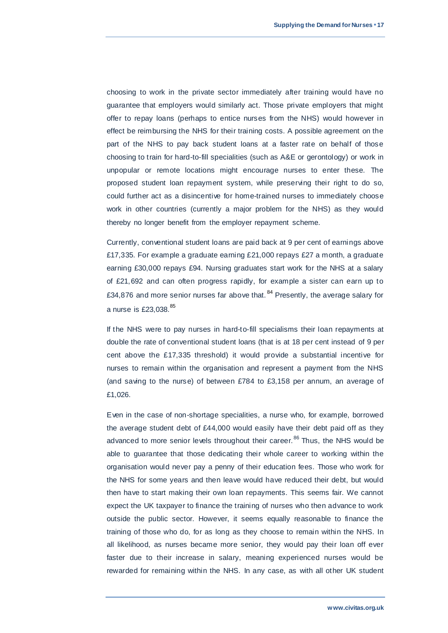choosing to work in the private sector immediately after training would have no guarantee that employers would similarly act. Those private employers that might offer to repay loans (perhaps to entice nurses from the NHS) would however in effect be reimbursing the NHS for their training costs. A possible agreement on the part of the NHS to pay back student loans at a faster rate on behalf of those choosing to train for hard-to-fill specialities (such as A&E or gerontology) or work in unpopular or remote locations might encourage nurses to enter these. The proposed student loan repayment system, while preserving their right to do so, could further act as a disincentive for home-trained nurses to immediately choose work in other countries (currently a major problem for the NHS) as they would thereby no longer benefit from the employer repayment scheme.

Currently, conventional student loans are paid back at 9 per cent of earnings above £17,335. For example a graduate earning £21,000 repays £27 a month, a graduate earning £30,000 repays £94. Nursing graduates start work for the NHS at a salary of £21,692 and can often progress rapidly, for example a sister can earn up to £34,876 and more senior nurses far above that.  $84$  Presently, the average salary for a nurse is £23,038.<sup>85</sup>

If the NHS were to pay nurses in hard-to-fill specialisms their loan repayments at double the rate of conventional student loans (that is at 18 per cent instead of 9 per cent above the £17,335 threshold) it would provide a substantial incentive for nurses to remain within the organisation and represent a payment from the NHS (and saving to the nurse) of between £784 to £3,158 per annum, an average of £1,026.

Even in the case of non-shortage specialities, a nurse who, for example, borrowed the average student debt of £44,000 would easily have their debt paid off as they advanced to more senior levels throughout their career.<sup>86</sup> Thus, the NHS would be able to guarantee that those dedicating their whole career to working within the organisation would never pay a penny of their education fees. Those who work for the NHS for some years and then leave would have reduced their debt, but would then have to start making their own loan repayments. This seems fair. We cannot expect the UK taxpayer to finance the training of nurses who then advance to work outside the public sector. However, it seems equally reasonable to finance the training of those who do, for as long as they choose to remain within the NHS. In all likelihood, as nurses became more senior, they would pay their loan off ever faster due to their increase in salary, meaning experienced nurses would be rewarded for remaining within the NHS. In any case, as with all other UK student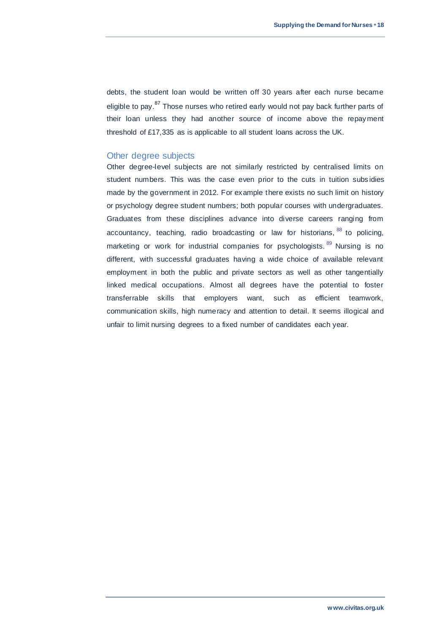debts, the student loan would be written off 30 years after each nurse became eligible to pay.<sup>87</sup> Those nurses who retired early would not pay back further parts of their loan unless they had another source of income above the repayment threshold of £17,335 as is applicable to all student loans across the UK.

### Other degree subjects

Other degree-level subjects are not similarly restricted by centralised limits on student numbers. This was the case even prior to the cuts in tuition subs idies made by the government in 2012. For example there exists no such limit on history or psychology degree student numbers; both popular courses with undergraduates. Graduates from these disciplines advance into diverse careers ranging from accountancy, teaching, radio broadcasting or law for historians, 88 to policing, marketing or work for industrial companies for psychologists.<sup>89</sup> Nursing is no different, with successful graduates having a wide choice of available relevant employment in both the public and private sectors as well as other tangentially linked medical occupations. Almost all degrees have the potential to foster transferrable skills that employers want, such as efficient teamwork, communication skills, high numeracy and attention to detail. It seems illogical and unfair to limit nursing degrees to a fixed number of candidates each year.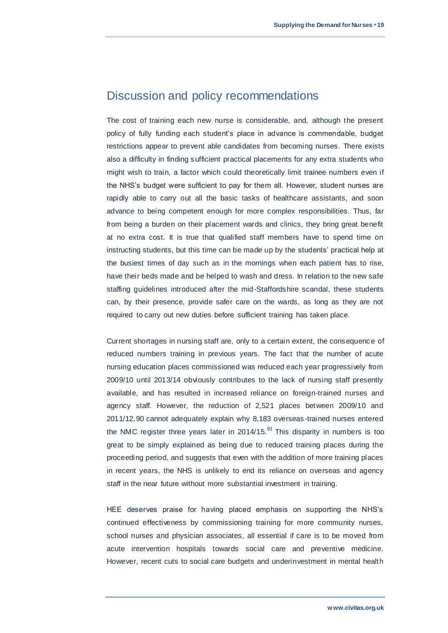# Discussion and policy recommendations

The cost of training each new nurse is considerable, and, although the present policy of fully funding each student's place in advance is commendable, budget restrictions appear to prevent able candidates from becoming nurses. There exists also a difficulty in finding sufficient practical placements for any extra students who might wish to train, a factor which could theoretically limit trainee numbers even if the NHS's budget were sufficient to pay for them all. However, student nurses are rapidly able to carry out all the basic tasks of healthcare assistants, and soon advance to being competent enough for more complex responsibilities. Thus, far from being a burden on their placement wards and clinics, they bring great benefit at no extra cost. It is true that qualified staff members have to spend time on instructing students, but this time can be made up by the students' practical help at the busiest times of day such as in the mornings when each patient has to rise, have their beds made and be helped to wash and dress. In relation to the new safe staffing guidelines introduced after the mid-Staffordshire scandal, these students can, by their presence, provide safer care on the wards, as long as they are not required to carry out new duties before sufficient training has taken place.

Current shortages in nursing staff are, only to a certain extent, the consequence of reduced numbers training in previous years. The fact that the number of acute nursing education places commissioned was reduced each year progressively from 2009/10 until 2013/14 obviously contributes to the lack of nursing staff presently available, and has resulted in increased reliance on foreign-trained nurses and agency staff. However, the reduction of 2,521 places between 2009/10 and 2011/12,90 cannot adequately explain why 8,183 overseas -trained nurses entered the NMC register three years later in  $2014/15$ .<sup>91</sup> This disparity in numbers is too great to be simply explained as being due to reduced training places during the proceeding period, and suggests that even with the addition of more training places in recent years, the NHS is unlikely to end its reliance on overseas and agency staff in the near future without more substantial investment in training.

HEE deserves praise for having placed emphasis on supporting the NHS's continued effectiveness by commissioning training for more community nurses, school nurses and physician associates, all essential if care is to be moved from acute intervention hospitals towards social care and preventive medicine. However, recent cuts to social care budgets and underinvestment in mental health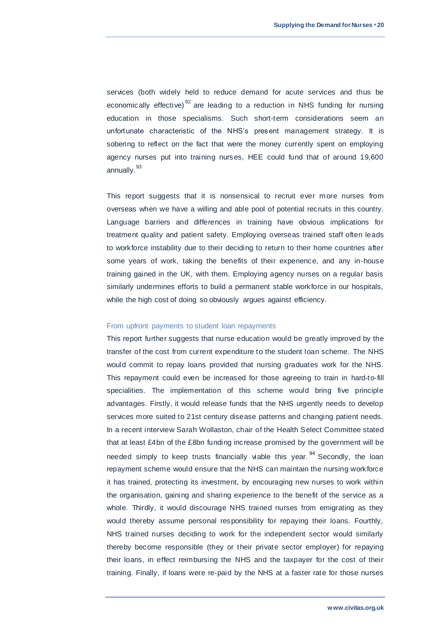services (both widely held to reduce demand for acute services and thus be economically effective)<sup>92</sup> are leading to a reduction in NHS funding for nursing education in those specialisms. Such short-term considerations seem an unfortunate characteristic of the NHS's present management strategy. It is sobering to reflect on the fact that were the money currently spent on employing agency nurses put into training nurses, HEE could fund that of around 19,600 annually.<sup>93</sup>

This report suggests that it is nonsensical to recruit ever more nurses from overseas when we have a willing and able pool of potential recruits in this country. Language barriers and differences in training have obvious implications for treatment quality and patient safety. Employing overseas trained staff often leads to workforce instability due to their deciding to return to their home countries after some years of work, taking the benefits of their experience, and any in-house training gained in the UK, with them. Employing agency nurses on a regular basis similarly undermines efforts to build a permanent stable workforce in our hospitals, while the high cost of doing so obviously argues against efficiency.

### From upfront payments to student loan repayments

This report further suggests that nurse education would be greatly improved by the transfer of the cost from current expenditure to the student loan scheme. The NHS would commit to repay loans provided that nursing graduates work for the NHS. This repayment could even be increased for those agreeing to train in hard-to-fill specialities. The implementation of this scheme would bring five principle advantages. Firstly, it would release funds that the NHS urgently needs to develop services more suited to 21st century disease patterns and changing patient needs. In a recent interview Sarah Wollaston, chair of the Health Select Committee stated that at least £4bn of the £8bn funding increase promised by the government will be needed simply to keep trusts financially viable this year.<sup>94</sup> Secondly, the loan repayment scheme would ensure that the NHS can maintain the nursing workforce it has trained, protecting its investment, by encouraging new nurses to work within the organisation, gaining and sharing experience to the benefit of the service as a whole. Thirdly, it would discourage NHS trained nurses from emigrating as they would thereby assume personal responsibility for repaying their loans. Fourthly, NHS trained nurses deciding to work for the independent sector would similarly thereby become responsible (they or their private sector employer) for repaying their loans, in effect reimbursing the NHS and the taxpayer for the cost of their training. Finally, if loans were re-paid by the NHS at a faster rate for those nurses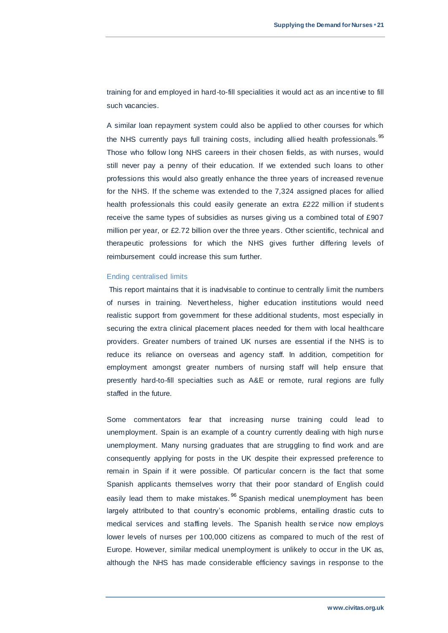training for and employed in hard-to-fill specialities it would act as an incentive to fill such vacancies.

A similar loan repayment system could also be applied to other courses for which the NHS currently pays full training costs, including allied health professionals.<sup>95</sup> Those who follow long NHS careers in their chosen fields, as with nurses, would still never pay a penny of their education. If we extended such loans to other professions this would also greatly enhance the three years of increased revenue for the NHS. If the scheme was extended to the 7,324 assigned places for allied health professionals this could easily generate an extra £222 million if students receive the same types of subsidies as nurses giving us a combined total of £907 million per year, or £2.72 billion over the three years. Other scientific, technical and therapeutic professions for which the NHS gives further differing levels of reimbursement could increase this sum further.

#### Ending centralised limits

This report maintains that it is inadvisable to continue to centrally limit the numbers of nurses in training. Nevertheless, higher education institutions would need realistic support from government for these additional students, most especially in securing the extra clinical placement places needed for them with local healthcare providers. Greater numbers of trained UK nurses are essential if the NHS is to reduce its reliance on overseas and agency staff. In addition, competition for employment amongst greater numbers of nursing staff will help ensure that presently hard-to-fill specialties such as A&E or remote, rural regions are fully staffed in the future.

Some commentators fear that increasing nurse training could lead to unemployment. Spain is an example of a country currently dealing with high nurse unemployment. Many nursing graduates that are struggling to find work and are consequently applying for posts in the UK despite their expressed preference to remain in Spain if it were possible. Of particular concern is the fact that some Spanish applicants themselves worry that their poor standard of English could easily lead them to make mistakes.<sup>96</sup> Spanish medical unemployment has been largely attributed to that country's economic problems, entailing drastic cuts to medical services and staffing levels. The Spanish health se rvice now employs lower levels of nurses per 100,000 citizens as compared to much of the rest of Europe. However, similar medical unemployment is unlikely to occur in the UK as, although the NHS has made considerable efficiency savings in response to the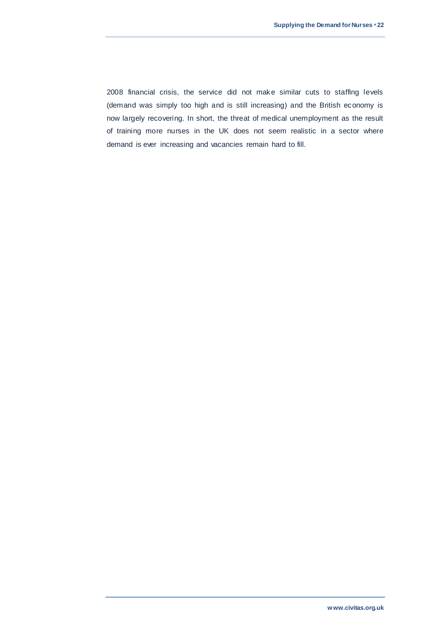2008 financial crisis, the service did not make similar cuts to staffing levels (demand was simply too high and is still increasing) and the British economy is now largely recovering. In short, the threat of medical unemployment as the result of training more nurses in the UK does not seem realistic in a sector where demand is ever increasing and vacancies remain hard to fill.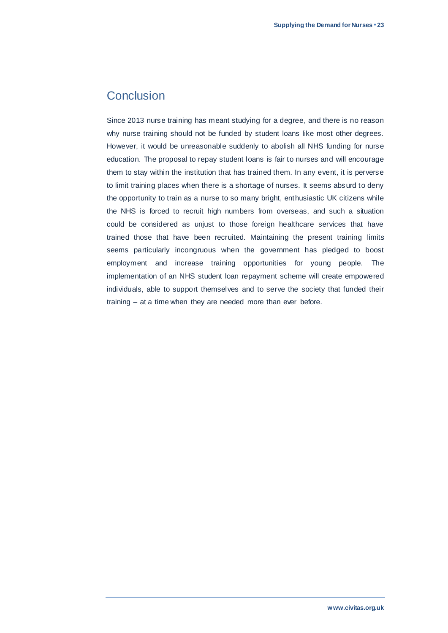# **Conclusion**

Since 2013 nurse training has meant studying for a degree, and there is no reason why nurse training should not be funded by student loans like most other degrees. However, it would be unreasonable suddenly to abolish all NHS funding for nurse education. The proposal to repay student loans is fair to nurses and will encourage them to stay within the institution that has trained them. In any event, it is perverse to limit training places when there is a shortage of nurses. It seems absurd to deny the opportunity to train as a nurse to so many bright, enthusiastic UK citizens while the NHS is forced to recruit high numbers from overseas, and such a situation could be considered as unjust to those foreign healthcare services that have trained those that have been recruited. Maintaining the present training limits seems particularly incongruous when the government has pledged to boost employment and increase training opportunities for young people. The implementation of an NHS student loan repayment scheme will create empowered individuals, able to support themselves and to serve the society that funded their training – at a time when they are needed more than ever before.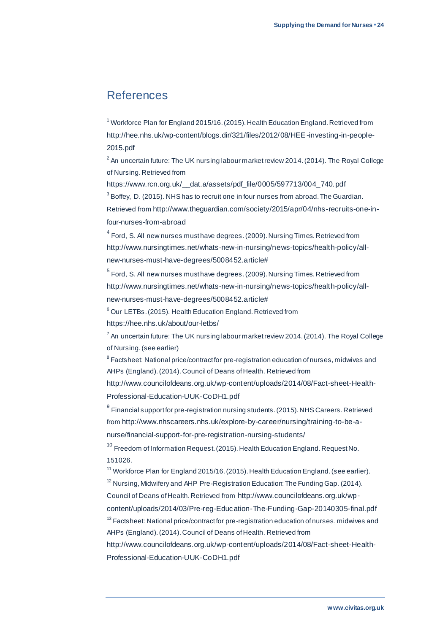# References

<sup>1</sup> Workforce Plan for England 2015/16. (2015). Health Education England. Retrieved from [http://hee.nhs.uk/wp-content/blogs.dir/321/files/2012/08/HEE-investing-in-people-](http://hee.nhs.uk/wp-content/blogs.dir/321/files/2012/08/HEE-investing-in-people-2015.pdf)[2015.pdf](http://hee.nhs.uk/wp-content/blogs.dir/321/files/2012/08/HEE-investing-in-people-2015.pdf)

 $^{\text{2}}$  An uncertain future: The UK nursing labour market review 2014. (2014). The Royal College of Nursing. Retrieved from

[https://www.rcn.org.uk/\\_\\_dat.a/assets/pdf\\_file/0005/597713/004\\_740.pdf](https://www.rcn.org.uk/__dat.a/assets/pdf_file/0005/597713/004_740.pdf)  $3$  Boffey, D. (2015). NHS has to recruit one in four nurses from abroad. The Guardian. Retrieved from [http://www.theguardian.com/society/2015/apr/04/nhs-recruits-one-in](http://www.theguardian.com/society/2015/apr/04/nhs-recruits-one-in-four-nurses-from-abroad)[four-nurses-from-abroad](http://www.theguardian.com/society/2015/apr/04/nhs-recruits-one-in-four-nurses-from-abroad)

 $^4$  Ford, S. All new nurses must have degrees. (2009). Nursing Times. Retrieved from [http://www.nursingtimes.net/whats-new-in-nursing/news-topics/health-policy/all](http://www.nursingtimes.net/whats-new-in-nursing/news-topics/health-policy/all-new-nurses-must-have-degrees/5008452.article)[new-nurses-must-have-degrees/5008452.article#](http://www.nursingtimes.net/whats-new-in-nursing/news-topics/health-policy/all-new-nurses-must-have-degrees/5008452.article)

 $^5$  Ford, S. All new nurses must have degrees. (2009). Nursing Times. Retrieved from [http://www.nursingtimes.net/whats-new-in-nursing/news-topics/health-policy/all](http://www.nursingtimes.net/whats-new-in-nursing/news-topics/health-policy/all-new-nurses-must-have-degrees/5008452.article)[new-nurses-must-have-degrees/5008452.article#](http://www.nursingtimes.net/whats-new-in-nursing/news-topics/health-policy/all-new-nurses-must-have-degrees/5008452.article)

 $6$  Our LETBs. (2015). Health Education England. Retrieved from <https://hee.nhs.uk/about/our-letbs/>

 $7$  An uncertain future: The UK nursing labour market review 2014. (2014). The Royal College of Nursing. (see earlier)

 $^8$  Factsheet: National price/contract for pre-registration education of nurses, midwives and AHPs (England). (2014). Council of Deans of Health. Retrieved from

[http://www.councilofdeans.org.uk/wp-content/uploads/2014/08/Fact-sheet-Health-](http://www.councilofdeans.org.uk/wp-content/uploads/2014/08/Fact-sheet-Health-Professional-Education-UUK-CoDH1.pdf)[Professional-Education-UUK-CoDH1.pdf](http://www.councilofdeans.org.uk/wp-content/uploads/2014/08/Fact-sheet-Health-Professional-Education-UUK-CoDH1.pdf)

 $^9$  Financial support for pre-registration nursing students. (2015). NHS Careers. Retrieved from [http://www.nhscareers.nhs.uk/explore-by-career/nursing/training-to-be-a](http://www.nhscareers.nhs.uk/explore-by-career/nursing/training-to-be-a-nurse/financial-support-for-pre-registration-nursing-students/)[nurse/financial-support-for-pre-registration-nursing-students/](http://www.nhscareers.nhs.uk/explore-by-career/nursing/training-to-be-a-nurse/financial-support-for-pre-registration-nursing-students/)

<sup>10</sup> Freedom of Information Request. (2015). Health Education England. Request No. 151026.

<sup>11</sup> Workforce Plan for England 2015/16. (2015). Health Education England. (see earlier).  $12$  Nursing, Midwifery and AHP Pre-Registration Education: The Funding Gap. (2014).

Council of Deans of Health. Retrieved from [http://www.councilofdeans.org.uk/wp-](http://www.councilofdeans.org.uk/wp-content/uploads/2014/03/Pre-reg-Education-The-Funding-Gap-20140305-final.pdf)

[content/uploads/2014/03/Pre-reg-Education-The-Funding-Gap-20140305-final.pdf](http://www.councilofdeans.org.uk/wp-content/uploads/2014/03/Pre-reg-Education-The-Funding-Gap-20140305-final.pdf)

<sup>13</sup> Factsheet: National price/contract for pre-registration education of nurses, midwives and AHPs (England). (2014). Council of Deans of Health. Retrieved from

[http://www.councilofdeans.org.uk/wp-content/uploads/2014/08/Fact-sheet-Health-](http://www.councilofdeans.org.uk/wp-content/uploads/2014/08/Fact-sheet-Health-Professional-Education-UUK-CoDH1.pdf)[Professional-Education-UUK-CoDH1.pdf](http://www.councilofdeans.org.uk/wp-content/uploads/2014/08/Fact-sheet-Health-Professional-Education-UUK-CoDH1.pdf)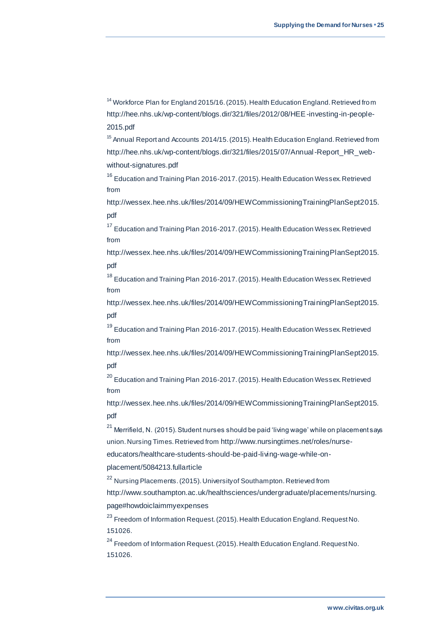<sup>14</sup> Workforce Plan for England 2015/16. (2015). Health Education England. Retrieved from [http://hee.nhs.uk/wp-content/blogs.dir/321/files/2012/08/HEE-investing-in-people-](http://hee.nhs.uk/wp-content/blogs.dir/321/files/2012/08/HEE-investing-in-people-2015.pdf)[2015.pdf](http://hee.nhs.uk/wp-content/blogs.dir/321/files/2012/08/HEE-investing-in-people-2015.pdf)

<sup>15</sup> Annual Report and Accounts 2014/15. (2015). Health Education England. Retrieved from [http://hee.nhs.uk/wp-content/blogs.dir/321/files/2015/07/Annual-Report\\_HR\\_web](http://hee.nhs.uk/wp-content/blogs.dir/321/files/2015/07/Annual-Report_HR_web-without-signatures.pdf)[without-signatures.pdf](http://hee.nhs.uk/wp-content/blogs.dir/321/files/2015/07/Annual-Report_HR_web-without-signatures.pdf)

<sup>16</sup> Education and Training Plan 2016-2017. (2015). Health Education Wessex. Retrieved from

[http://wessex.hee.nhs.uk/files/2014/09/HEWCommissioningTrainingPlanSept2015.](http://wessex.hee.nhs.uk/files/2014/09/HEWCommissioningTrainingPlanSept2015.pdf) [pdf](http://wessex.hee.nhs.uk/files/2014/09/HEWCommissioningTrainingPlanSept2015.pdf)

<sup>17</sup> Education and Training Plan 2016-2017. (2015). Health Education Wessex. Retrieved from

[http://wessex.hee.nhs.uk/files/2014/09/HEWCommissioningTrainingPlanSept2015.](http://wessex.hee.nhs.uk/files/2014/09/HEWCommissioningTrainingPlanSept2015.pdf) [pdf](http://wessex.hee.nhs.uk/files/2014/09/HEWCommissioningTrainingPlanSept2015.pdf)

<sup>18</sup> Education and Training Plan 2016-2017. (2015). Health Education Wessex. Retrieved from

[http://wessex.hee.nhs.uk/files/2014/09/HEWCommissioningTrainingPlanSept2015.](http://wessex.hee.nhs.uk/files/2014/09/HEWCommissioningTrainingPlanSept2015.pdf) [pdf](http://wessex.hee.nhs.uk/files/2014/09/HEWCommissioningTrainingPlanSept2015.pdf)

<sup>19</sup> Education and Training Plan 2016-2017. (2015). Health Education Wessex. Retrieved from

[http://wessex.hee.nhs.uk/files/2014/09/HEWCommissioningTrainingPlanSept2015.](http://wessex.hee.nhs.uk/files/2014/09/HEWCommissioningTrainingPlanSept2015.pdf) [pdf](http://wessex.hee.nhs.uk/files/2014/09/HEWCommissioningTrainingPlanSept2015.pdf)

 $^{20}$  Education and Training Plan 2016-2017. (2015). Health Education Wessex. Retrieved from

[http://wessex.hee.nhs.uk/files/2014/09/HEWCommissioningTrainingPlanSept2015.](http://wessex.hee.nhs.uk/files/2014/09/HEWCommissioningTrainingPlanSept2015.pdf) [pdf](http://wessex.hee.nhs.uk/files/2014/09/HEWCommissioningTrainingPlanSept2015.pdf)

 $21$  Merrifield, N. (2015). Student nurses should be paid 'living wage' while on placement says union. Nursing Times. Retrieved from [http://www.nursingtimes.net/roles/nurse](http://www.nursingtimes.net/roles/nurse-educators/healthcare-students-should-be-paid-living-wage-while-on-placement/5084213.fullarticle)[educators/healthcare-students-should-be-paid-living-wage-while-on-](http://www.nursingtimes.net/roles/nurse-educators/healthcare-students-should-be-paid-living-wage-while-on-placement/5084213.fullarticle)

[placement/5084213.fullarticle](http://www.nursingtimes.net/roles/nurse-educators/healthcare-students-should-be-paid-living-wage-while-on-placement/5084213.fullarticle)

<sup>22</sup> Nursing Placements. (2015). University of Southampton. Retrieved from

[http://www.southampton.ac.uk/healthsciences/undergraduate/placements/nursing.](http://www.southampton.ac.uk/healthsciences/undergraduate/placements/nursing.page) [page#howdoiclaimmyexpenses](http://www.southampton.ac.uk/healthsciences/undergraduate/placements/nursing.page)

<sup>23</sup> Freedom of Information Request. (2015). Health Education England. Request No. 151026.

<sup>24</sup> Freedom of Information Request. (2015). Health Education England. Request No. 151026.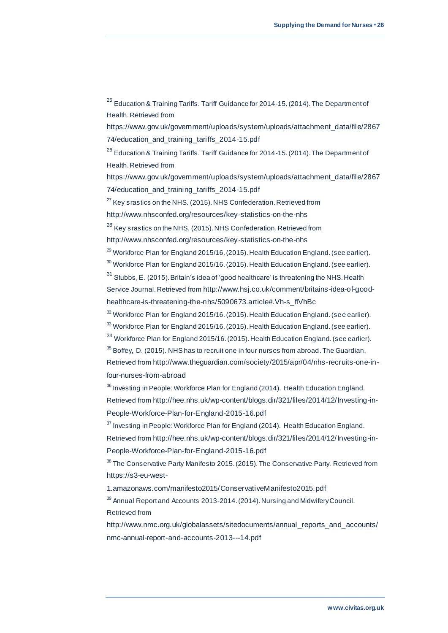<sup>25</sup> Education & Training Tariffs. Tariff Guidance for 2014-15. (2014). The Department of Health. Retrieved from

[https://www.gov.uk/government/uploads/system/uploads/attachment\\_data/file/2867](https://www.gov.uk/government/uploads/system/uploads/attachment_data/file/286774/education_and_training_tariffs_2014-15.pdf) [74/education\\_and\\_training\\_tariffs\\_2014-15.pdf](https://www.gov.uk/government/uploads/system/uploads/attachment_data/file/286774/education_and_training_tariffs_2014-15.pdf)

<sup>26</sup> Education & Training Tariffs. Tariff Guidance for 2014-15. (2014). The Department of Health. Retrieved from

[https://www.gov.uk/government/uploads/system/uploads/attachment\\_data/file/2867](https://www.gov.uk/government/uploads/system/uploads/attachment_data/file/286774/education_and_training_tariffs_2014-15.pdf) [74/education\\_and\\_training\\_tariffs\\_2014-15.pdf](https://www.gov.uk/government/uploads/system/uploads/attachment_data/file/286774/education_and_training_tariffs_2014-15.pdf)

 $27$  Key srastics on the NHS. (2015). NHS Confederation. Retrieved from

<http://www.nhsconfed.org/resources/key-statistics-on-the-nhs>

<sup>28</sup> Key srastics on the NHS. (2015). NHS Confederation. Retrieved from

<http://www.nhsconfed.org/resources/key-statistics-on-the-nhs>

 $29$  Workforce Plan for England 2015/16. (2015). Health Education England. (see earlier).  $30$  Workforce Plan for England 2015/16. (2015). Health Education England. (see earlier).

 $31$  Stubbs, E. (2015). Britain's idea of 'good healthcare' is threatening the NHS. Health Service Journal. Retrieved from [http://www.hsj.co.uk/comment/britains-idea-of-good](http://www.hsj.co.uk/comment/britains-idea-of-good-healthcare-is-threatening-the-nhs/5090673.article)[healthcare-is-threatening-the-nhs/5090673.article#.Vh-s\\_flVhBc](http://www.hsj.co.uk/comment/britains-idea-of-good-healthcare-is-threatening-the-nhs/5090673.article)

 $32$  Workforce Plan for England 2015/16. (2015). Health Education England. (see earlier).

<sup>33</sup> Workforce Plan for England 2015/16. (2015). Health Education England. (see earlier).

<sup>34</sup> Workforce Plan for England 2015/16. (2015). Health Education England. (see earlier).

 $35$  Boffey, D. (2015). NHS has to recruit one in four nurses from abroad. The Guardian. Retrieved from [http://www.theguardian.com/society/2015/apr/04/nhs-recruits-one-in](http://www.theguardian.com/society/2015/apr/04/nhs-recruits-one-in-four-nurses-from-abroad)[four-nurses-from-abroad](http://www.theguardian.com/society/2015/apr/04/nhs-recruits-one-in-four-nurses-from-abroad)

<sup>36</sup> Investing in People: Workforce Plan for England (2014). Health Education England. Retrieved from [http://hee.nhs.uk/wp-content/blogs.dir/321/files/2014/12/Investing-in-](http://hee.nhs.uk/wp-content/blogs.dir/321/files/2014/12/Investing-in-People-Workforce-Plan-for-England-2015-16.pdf)[People-Workforce-Plan-for-England-2015-16.pdf](http://hee.nhs.uk/wp-content/blogs.dir/321/files/2014/12/Investing-in-People-Workforce-Plan-for-England-2015-16.pdf)

 $37$  Investing in People: Workforce Plan for England (2014). Health Education England. Retrieved from [http://hee.nhs.uk/wp-content/blogs.dir/321/files/2014/12/Investing-in-](http://hee.nhs.uk/wp-content/blogs.dir/321/files/2014/12/Investing-in-People-Workforce-Plan-for-England-2015-16.pdf)[People-Workforce-Plan-for-England-2015-16.pdf](http://hee.nhs.uk/wp-content/blogs.dir/321/files/2014/12/Investing-in-People-Workforce-Plan-for-England-2015-16.pdf)

<sup>38</sup> The Conservative Party Manifesto 2015. (2015). The Conservative Party. Retrieved from [https://s3-eu-west-](https://s3-eu-west-1.amazonaws.com/manifesto2015/ConservativeManifesto2015.pdf)

[1.amazonaws.com/manifesto2015/ConservativeManifesto2015.pdf](https://s3-eu-west-1.amazonaws.com/manifesto2015/ConservativeManifesto2015.pdf)

<sup>39</sup> Annual Report and Accounts 2013-2014. (2014). Nursing and Midwifery Council. Retrieved from

[http://www.nmc.org.uk/globalassets/sitedocuments/annual\\_reports\\_and\\_accounts/](http://www.nmc.org.uk/globalassets/sitedocuments/annual_reports_and_accounts/nmc-annual-report-and-accounts-2013---14.pdf) [nmc-annual-report-and-accounts-2013---14.pdf](http://www.nmc.org.uk/globalassets/sitedocuments/annual_reports_and_accounts/nmc-annual-report-and-accounts-2013---14.pdf)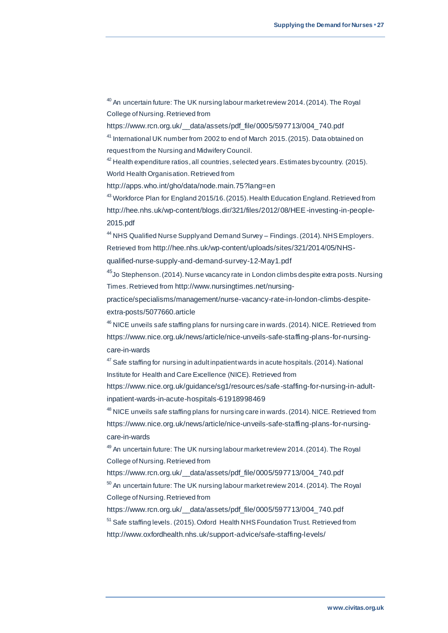<sup>40</sup> An uncertain future: The UK nursing labour market review 2014. (2014). The Royal College of Nursing. Retrieved from

[https://www.rcn.org.uk/\\_\\_data/assets/pdf\\_file/0005/597713/004\\_740.pdf](https://www.rcn.org.uk/__data/assets/pdf_file/0005/597713/004_740.pdf)

<sup>41</sup> International UK number from 2002 to end of March 2015. (2015). Data obtained on request from the Nursing and Midwifery Council.

 $42$  Health expenditure ratios, all countries, selected years. Estimates by country. (2015). World Health Organisation. Retrieved from

<http://apps.who.int/gho/data/node.main.75?lang=en>

<sup>43</sup> Workforce Plan for England 2015/16. (2015). Health Education England. Retrieved from [http://hee.nhs.uk/wp-content/blogs.dir/321/files/2012/08/HEE-investing-in-people-](http://hee.nhs.uk/wp-content/blogs.dir/321/files/2012/08/HEE-investing-in-people-2015.pdf)[2015.pdf](http://hee.nhs.uk/wp-content/blogs.dir/321/files/2012/08/HEE-investing-in-people-2015.pdf)

<sup>44</sup> NHS Qualified Nurse Supply and Demand Survey – Findings. (2014). NHS Employers. Retrieved from [http://hee.nhs.uk/wp-content/uploads/sites/321/2014/05/NHS-](http://hee.nhs.uk/wp-content/uploads/sites/321/2014/05/NHS-qualified-nurse-supply-and-demand-survey-12-May1.pdf)

[qualified-nurse-supply-and-demand-survey-12-May1.pdf](http://hee.nhs.uk/wp-content/uploads/sites/321/2014/05/NHS-qualified-nurse-supply-and-demand-survey-12-May1.pdf)

<sup>45</sup>Jo Stephenson. (2014). Nurse vacancy rate in London climbs despite extra posts. Nursing Times. Retrieved from [http://www.nursingtimes.net/nursing-](http://www.nursingtimes.net/nursing-practice/specialisms/management/nurse-vacancy-rate-in-london-climbs-despite-extra-posts/5077660.article)

[practice/specialisms/management/nurse-vacancy-rate-in-london-climbs-despite](http://www.nursingtimes.net/nursing-practice/specialisms/management/nurse-vacancy-rate-in-london-climbs-despite-extra-posts/5077660.article)[extra-posts/5077660.article](http://www.nursingtimes.net/nursing-practice/specialisms/management/nurse-vacancy-rate-in-london-climbs-despite-extra-posts/5077660.article)

<sup>46</sup> NICE unveils safe staffing plans for nursing care in wards. (2014). NICE. Retrieved from [https://www.nice.org.uk/news/article/nice-unveils-safe-staffing-plans-for-nursing](https://www.nice.org.uk/news/article/nice-unveils-safe-staffing-plans-for-nursing-care-in-wards)[care-in-wards](https://www.nice.org.uk/news/article/nice-unveils-safe-staffing-plans-for-nursing-care-in-wards)

 $47$  Safe staffing for nursing in adult inpatient wards in acute hospitals. (2014). National Institute for Health and Care Excellence (NICE). Retrieved from

[https://www.nice.org.uk/guidance/sg1/resources/safe-staffing-for-nursing-in-adult](https://www.nice.org.uk/guidance/sg1/resources/safe-staffing-for-nursing-in-adult-inpatient-wards-in-acute-hospitals-61918998469)[inpatient-wards-in-acute-hospitals-61918998469](https://www.nice.org.uk/guidance/sg1/resources/safe-staffing-for-nursing-in-adult-inpatient-wards-in-acute-hospitals-61918998469)

<sup>48</sup> NICE unveils safe staffing plans for nursing care in wards. (2014). NICE. Retrieved from [https://www.nice.org.uk/news/article/nice-unveils-safe-staffing-plans-for-nursing](https://www.nice.org.uk/news/article/nice-unveils-safe-staffing-plans-for-nursing-care-in-wards)[care-in-wards](https://www.nice.org.uk/news/article/nice-unveils-safe-staffing-plans-for-nursing-care-in-wards)

<sup>49</sup> An uncertain future: The UK nursing labour market review 2014. (2014). The Royal College of Nursing. Retrieved from

[https://www.rcn.org.uk/\\_\\_data/assets/pdf\\_file/0005/597713/004\\_740.pdf](https://www.rcn.org.uk/__data/assets/pdf_file/0005/597713/004_740.pdf)  $50$  An uncertain future: The UK nursing labour market review 2014. (2014). The Royal College of Nursing. Retrieved from

[https://www.rcn.org.uk/\\_\\_data/assets/pdf\\_file/0005/597713/004\\_740.pdf](https://www.rcn.org.uk/__data/assets/pdf_file/0005/597713/004_740.pdf) <sup>51</sup> Safe staffing levels. (2015). Oxford Health NHS Foundation Trust. Retrieved from <http://www.oxfordhealth.nhs.uk/support-advice/safe-staffing-levels/>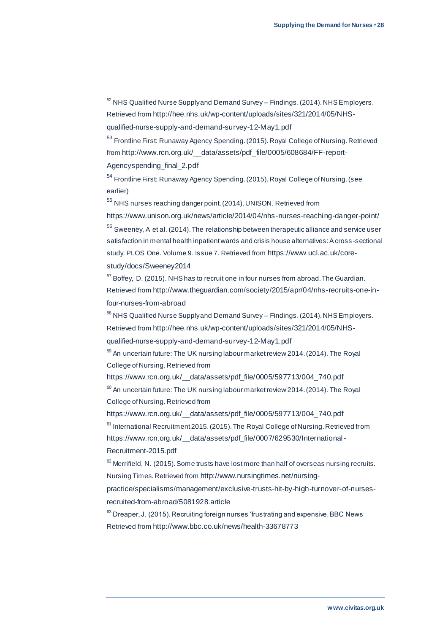$52$  NHS Qualified Nurse Supply and Demand Survey – Findings. (2014). NHS Employers. Retrieved from [http://hee.nhs.uk/wp-content/uploads/sites/321/2014/05/NHS-](http://hee.nhs.uk/wp-content/uploads/sites/321/2014/05/NHS-qualified-nurse-supply-and-demand-survey-12-May1.pdf)

[qualified-nurse-supply-and-demand-survey-12-May1.pdf](http://hee.nhs.uk/wp-content/uploads/sites/321/2014/05/NHS-qualified-nurse-supply-and-demand-survey-12-May1.pdf)

<sup>53</sup> Frontline First: Runaway Agency Spending. (2015). Royal College of Nursing. Retrieved from [http://www.rcn.org.uk/\\_\\_data/assets/pdf\\_file/0005/608684/FF-report-](http://www.rcn.org.uk/__data/assets/pdf_file/0005/608684/FF-report-Agencyspending_final_2.pdf)

[Agencyspending\\_final\\_2.pdf](http://www.rcn.org.uk/__data/assets/pdf_file/0005/608684/FF-report-Agencyspending_final_2.pdf)

<sup>54</sup> Frontline First: Runaway Agency Spending. (2015). Royal College of Nursing. (see earlier)

<sup>55</sup> NHS nurses reaching danger point. (2014). UNISON. Retrieved from

<https://www.unison.org.uk/news/article/2014/04/nhs-nurses-reaching-danger-point/> <sup>56</sup> Sweeney, A et al. (2014). The relationship between therapeutic alliance and service user satisfaction in mental health inpatient wards and crisis house alternatives: A cross -sectional study. PLOS One. Volume 9. Issue 7. Retrieved from [https://www.ucl.ac.uk/core](https://www.ucl.ac.uk/core-study/docs/Sweeney2014)[study/docs/Sweeney2014](https://www.ucl.ac.uk/core-study/docs/Sweeney2014)

 $57$  Boffey, D. (2015). NHS has to recruit one in four nurses from abroad. The Guardian. Retrieved from [http://www.theguardian.com/society/2015/apr/04/nhs-recruits-one-in](http://www.theguardian.com/society/2015/apr/04/nhs-recruits-one-in-four-nurses-from-abroad)[four-nurses-from-abroad](http://www.theguardian.com/society/2015/apr/04/nhs-recruits-one-in-four-nurses-from-abroad)

<sup>58</sup> NHS Qualified Nurse Supply and Demand Survey – Findings. (2014). NHS Employers. Retrieved from [http://hee.nhs.uk/wp-content/uploads/sites/321/2014/05/NHS](http://hee.nhs.uk/wp-content/uploads/sites/321/2014/05/NHS-qualified-nurse-supply-and-demand-survey-12-May1.pdf)[qualified-nurse-supply-and-demand-survey-12-May1.pdf](http://hee.nhs.uk/wp-content/uploads/sites/321/2014/05/NHS-qualified-nurse-supply-and-demand-survey-12-May1.pdf)

<sup>59</sup> An uncertain future: The UK nursing labour market review 2014. (2014). The Royal College of Nursing. Retrieved from

[https://www.rcn.org.uk/\\_\\_data/assets/pdf\\_file/0005/597713/004\\_740.pdf](https://www.rcn.org.uk/__data/assets/pdf_file/0005/597713/004_740.pdf)

 $60$  An uncertain future: The UK nursing labour market review 2014. (2014). The Royal College of Nursing. Retrieved from

[https://www.rcn.org.uk/\\_\\_data/assets/pdf\\_file/0005/597713/004\\_740.pdf](https://www.rcn.org.uk/__data/assets/pdf_file/0005/597713/004_740.pdf) <sup>61</sup> International Recruitment 2015. (2015). The Royal College of Nursing. Retrieved from [https://www.rcn.org.uk/\\_\\_data/assets/pdf\\_file/0007/629530/International](https://www.rcn.org.uk/__data/assets/pdf_file/0007/629530/International-Recruitment-2015.pdf) - [Recruitment-2015.pdf](https://www.rcn.org.uk/__data/assets/pdf_file/0007/629530/International-Recruitment-2015.pdf)

 $62$  Merrifield, N. (2015). Some trusts have lost more than half of overseas nursing recruits. Nursing Times. Retrieved from [http://www.nursingtimes.net/nursing-](http://www.nursingtimes.net/nursing-practice/specialisms/management/exclusive-trusts-hit-by-high-turnover-of-nurses-recruited-from-abroad/5081928.article)

[practice/specialisms/management/exclusive-trusts-hit-by-high-turnover-of-nurses](http://www.nursingtimes.net/nursing-practice/specialisms/management/exclusive-trusts-hit-by-high-turnover-of-nurses-recruited-from-abroad/5081928.article)[recruited-from-abroad/5081928.article](http://www.nursingtimes.net/nursing-practice/specialisms/management/exclusive-trusts-hit-by-high-turnover-of-nurses-recruited-from-abroad/5081928.article)

 $63$  Dreaper, J. (2015). Recruiting foreign nurses 'frustrating and expensive. BBC News Retrieved from <http://www.bbc.co.uk/news/health-33678773>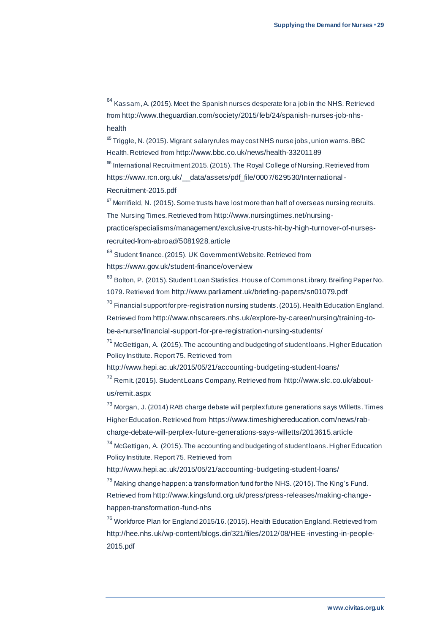$64$  Kassam, A. (2015). Meet the Spanish nurses desperate for a job in the NHS. Retrieved from [http://www.theguardian.com/society/2015/feb/24/spanish-nurses-job-nhs](http://www.theguardian.com/society/2015/feb/24/spanish-nurses-job-nhs-health)[health](http://www.theguardian.com/society/2015/feb/24/spanish-nurses-job-nhs-health)

 $65$  Triggle, N. (2015). Migrant salary rules may cost NHS nurse jobs, union warns. BBC Health. Retrieved from <http://www.bbc.co.uk/news/health-33201189>

<sup>66</sup> International Recruitment 2015. (2015). The Royal College of Nursing. Retrieved from https://www.rcn.org.uk/ data/assets/pdf file/0007/629530/International -[Recruitment-2015.pdf](https://www.rcn.org.uk/__data/assets/pdf_file/0007/629530/International-Recruitment-2015.pdf)

 $67$  Merrifield, N. (2015). Some trusts have lost more than half of overseas nursing recruits. The Nursing Times. Retrieved from [http://www.nursingtimes.net/nursing-](http://www.nursingtimes.net/nursing-practice/specialisms/management/exclusive-trusts-hit-by-high-turnover-of-nurses-recruited-from-abroad/5081928.article)

[practice/specialisms/management/exclusive-trusts-hit-by-high-turnover-of-nurses](http://www.nursingtimes.net/nursing-practice/specialisms/management/exclusive-trusts-hit-by-high-turnover-of-nurses-recruited-from-abroad/5081928.article)[recruited-from-abroad/5081928.article](http://www.nursingtimes.net/nursing-practice/specialisms/management/exclusive-trusts-hit-by-high-turnover-of-nurses-recruited-from-abroad/5081928.article)

<sup>68</sup> Student finance. (2015). UK Government Website. Retrieved from <https://www.gov.uk/student-finance/overview>

<sup>69</sup> Bolton, P. (2015). Student Loan Statistics. House of Commons Library. Breifing Paper No. 1079. Retrieved from <http://www.parliament.uk/briefing-papers/sn01079.pdf>

 $70$  Financial support for pre-registration nursing students. (2015). Health Education England. Retrieved from [http://www.nhscareers.nhs.uk/explore-by-career/nursing/training-to-](http://www.nhscareers.nhs.uk/explore-by-career/nursing/training-to-be-a-nurse/financial-support-for-pre-registration-nursing-students/)

[be-a-nurse/financial-support-for-pre-registration-nursing-students/](http://www.nhscareers.nhs.uk/explore-by-career/nursing/training-to-be-a-nurse/financial-support-for-pre-registration-nursing-students/)

 $71$  McGettigan, A. (2015). The accounting and budgeting of student loans. Higher Education Policy Institute. Report 75. Retrieved from

<http://www.hepi.ac.uk/2015/05/21/accounting-budgeting-student-loans/>

<sup>72</sup> Remit. (2015). Student Loans Company. Retrieved from [http://www.slc.co.uk/about](http://www.slc.co.uk/about-us/remit.aspx)[us/remit.aspx](http://www.slc.co.uk/about-us/remit.aspx)

<sup>73</sup> Morgan, J. (2014) RAB charge debate will perplex future generations says Willetts. Times Higher Education. Retrieved from [https://www.timeshighereducation.com/news/rab-](https://www.timeshighereducation.com/news/rab-charge-debate-will-perplex-future-generations-says-willetts/2013615.article)

[charge-debate-will-perplex-future-generations-says-willetts/2013615.article](https://www.timeshighereducation.com/news/rab-charge-debate-will-perplex-future-generations-says-willetts/2013615.article)

<sup>74</sup> McGettigan, A. (2015). The accounting and budgeting of student loans. Higher Education Policy Institute. Report 75. Retrieved from

<http://www.hepi.ac.uk/2015/05/21/accounting-budgeting-student-loans/>

<sup>75</sup> Making change happen: a transformation fund for the NHS. (2015). The King's Fund. Retrieved from [http://www.kingsfund.org.uk/press/press-releases/making-change](http://www.kingsfund.org.uk/press/press-releases/making-change-happen-transformation-fund-nhs)[happen-transformation-fund-nhs](http://www.kingsfund.org.uk/press/press-releases/making-change-happen-transformation-fund-nhs)

<sup>76</sup> Workforce Plan for England 2015/16. (2015). Health Education England. Retrieved from [http://hee.nhs.uk/wp-content/blogs.dir/321/files/2012/08/HEE-investing-in-people-](http://hee.nhs.uk/wp-content/blogs.dir/321/files/2012/08/HEE-investing-in-people-2015.pdf)[2015.pdf](http://hee.nhs.uk/wp-content/blogs.dir/321/files/2012/08/HEE-investing-in-people-2015.pdf)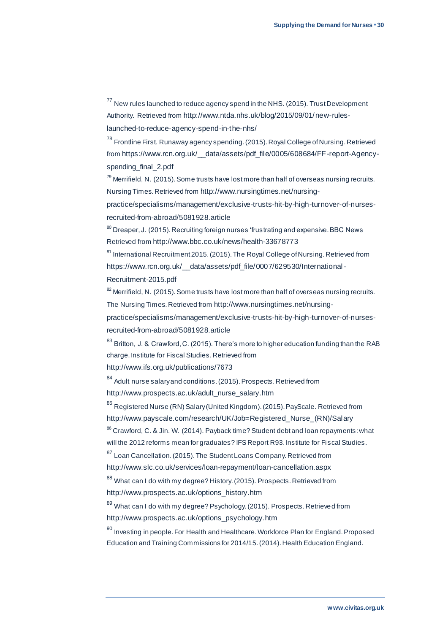$77$  New rules launched to reduce agency spend in the NHS. (2015). Trust Development Authority. Retrieved from [http://www.ntda.nhs.uk/blog/2015/09/01/new-rules-](http://www.ntda.nhs.uk/blog/2015/09/01/new-rules-launched-to-reduce-agency-spend-in-the-nhs/)

[launched-to-reduce-agency-spend-in-the-nhs/](http://www.ntda.nhs.uk/blog/2015/09/01/new-rules-launched-to-reduce-agency-spend-in-the-nhs/)

<sup>78</sup> Frontline First. Runaway agency spending. (2015). Royal College of Nursing. Retrieved from [https://www.rcn.org.uk/\\_\\_data/assets/pdf\\_file/0005/608684/FF-report-Agency](https://www.rcn.org.uk/__data/assets/pdf_file/0005/608684/FF-report-Agency-spending_final_2.pdf)spending final 2.pdf

 $79$  Merrifield, N. (2015). Some trusts have lost more than half of overseas nursing recruits. Nursing Times. Retrieved from [http://www.nursingtimes.net/nursing-](http://www.nursingtimes.net/nursing-practice/specialisms/management/exclusive-trusts-hit-by-high-turnover-of-nurses-recruited-from-abroad/5081928.article)

[practice/specialisms/management/exclusive-trusts-hit-by-high-turnover-of-nurses](http://www.nursingtimes.net/nursing-practice/specialisms/management/exclusive-trusts-hit-by-high-turnover-of-nurses-recruited-from-abroad/5081928.article)[recruited-from-abroad/5081928.article](http://www.nursingtimes.net/nursing-practice/specialisms/management/exclusive-trusts-hit-by-high-turnover-of-nurses-recruited-from-abroad/5081928.article)

 $80$  Dreaper, J. (2015). Recruiting foreign nurses 'frustrating and expensive. BBC News Retrieved from <http://www.bbc.co.uk/news/health-33678773>

<sup>81</sup> International Recruitment 2015. (2015). The Royal College of Nursing. Retrieved from https://www.rcn.org.uk/ data/assets/pdf\_file/0007/629530/International -

[Recruitment-2015.pdf](https://www.rcn.org.uk/__data/assets/pdf_file/0007/629530/International-Recruitment-2015.pdf)

 $82$  Merrifield, N. (2015). Some trusts have lost more than half of overseas nursing recruits. The Nursing Times. Retrieved from [http://www.nursingtimes.net/nursing-](http://www.nursingtimes.net/nursing-practice/specialisms/management/exclusive-trusts-hit-by-high-turnover-of-nurses-recruited-from-abroad/5081928.article)

[practice/specialisms/management/exclusive-trusts-hit-by-high-turnover-of-nurses](http://www.nursingtimes.net/nursing-practice/specialisms/management/exclusive-trusts-hit-by-high-turnover-of-nurses-recruited-from-abroad/5081928.article)[recruited-from-abroad/5081928.article](http://www.nursingtimes.net/nursing-practice/specialisms/management/exclusive-trusts-hit-by-high-turnover-of-nurses-recruited-from-abroad/5081928.article)

<sup>83</sup> Britton, J. & Crawford, C. (2015). There's more to higher education funding than the RAB charge. Institute for Fiscal Studies. Retrieved from

<http://www.ifs.org.uk/publications/7673>

<sup>84</sup> Adult nurse salary and conditions. (2015). Prospects. Retrieved from [http://www.prospects.ac.uk/adult\\_nurse\\_salary.htm](http://www.prospects.ac.uk/adult_nurse_salary.htm)

<sup>85</sup> Registered Nurse (RN) Salary (United Kingdom). (2015). PayScale. Retrieved from [http://www.payscale.com/research/UK/Job=Registered\\_Nurse\\_\(RN\)/Salary](http://www.payscale.com/research/UK/Job=Registered_Nurse_(RN)/Salary)

<sup>86</sup> Crawford, C. & Jin. W. (2014). Payback time? Student debt and loan repayments: what will the 2012 reforms mean for graduates? IFS Report R93. Institute for Fiscal Studies.

<sup>87</sup> Loan Cancellation. (2015). The Student Loans Company. Retrieved from

<http://www.slc.co.uk/services/loan-repayment/loan-cancellation.aspx>

88 What can I do with my degree? History. (2015). Prospects. Retrieved from [http://www.prospects.ac.uk/options\\_history.htm](http://www.prospects.ac.uk/options_history.htm)

<sup>89</sup> What can I do with my degree? Psychology. (2015). Prospects. Retrieved from [http://www.prospects.ac.uk/options\\_psychology.htm](http://www.prospects.ac.uk/options_psychology.htm)

 $90$  Investing in people. For Health and Healthcare. Workforce Plan for England. Proposed Education and Training Commissions for 2014/15. (2014). Health Education England.